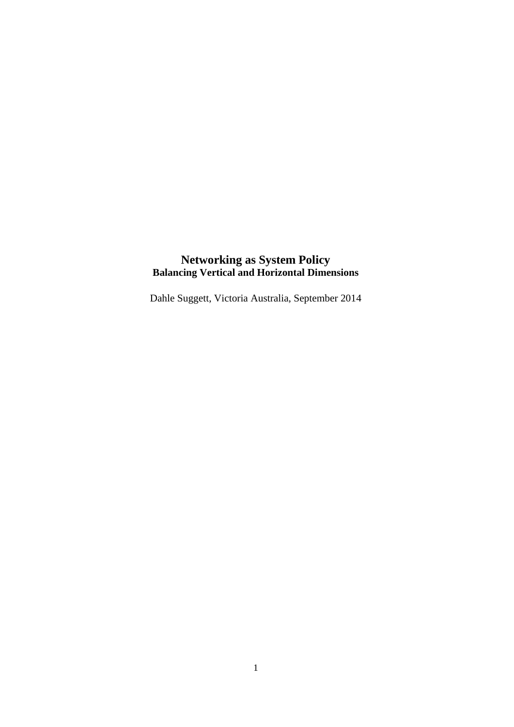# **Networking as System Policy Balancing Vertical and Horizontal Dimensions**

Dahle Suggett, Victoria Australia, September 2014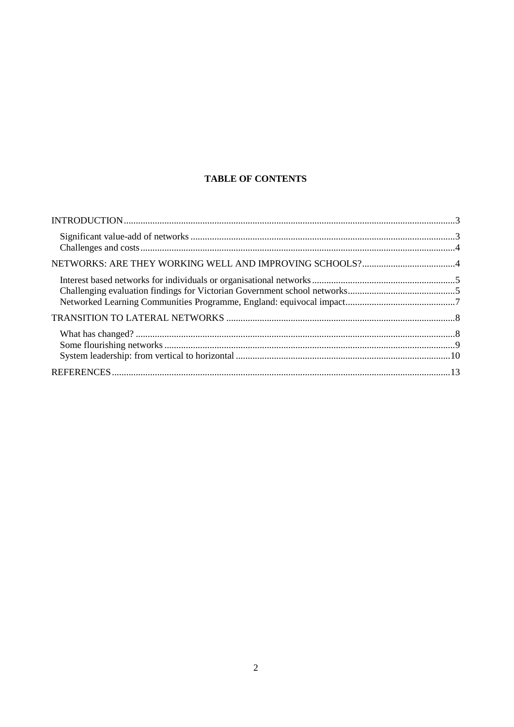# **TABLE OF CONTENTS**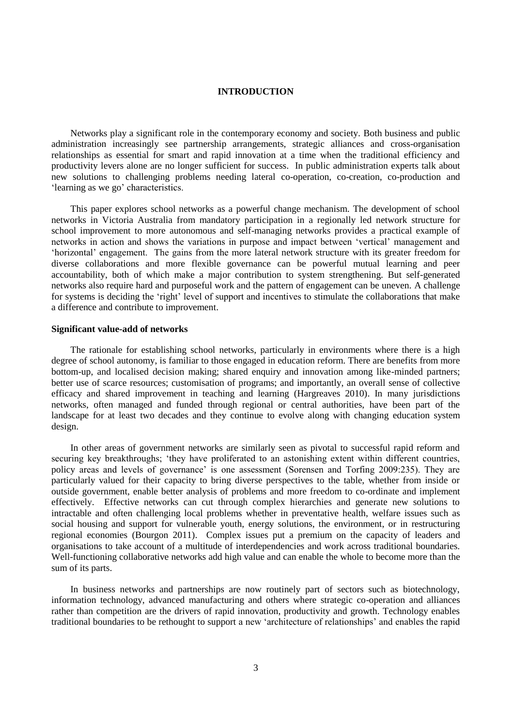## **INTRODUCTION**

<span id="page-2-0"></span>Networks play a significant role in the contemporary economy and society. Both business and public administration increasingly see partnership arrangements, strategic alliances and cross-organisation relationships as essential for smart and rapid innovation at a time when the traditional efficiency and productivity levers alone are no longer sufficient for success. In public administration experts talk about new solutions to challenging problems needing lateral co-operation, co-creation, co-production and 'learning as we go' characteristics.

This paper explores school networks as a powerful change mechanism. The development of school networks in Victoria Australia from mandatory participation in a regionally led network structure for school improvement to more autonomous and self-managing networks provides a practical example of networks in action and shows the variations in purpose and impact between 'vertical' management and 'horizontal' engagement. The gains from the more lateral network structure with its greater freedom for diverse collaborations and more flexible governance can be powerful mutual learning and peer accountability, both of which make a major contribution to system strengthening. But self-generated networks also require hard and purposeful work and the pattern of engagement can be uneven. A challenge for systems is deciding the 'right' level of support and incentives to stimulate the collaborations that make a difference and contribute to improvement.

#### <span id="page-2-1"></span>**Significant value-add of networks**

The rationale for establishing school networks, particularly in environments where there is a high degree of school autonomy, is familiar to those engaged in education reform. There are benefits from more bottom-up, and localised decision making; shared enquiry and innovation among like-minded partners; better use of scarce resources; customisation of programs; and importantly, an overall sense of collective efficacy and shared improvement in teaching and learning (Hargreaves 2010). In many jurisdictions networks, often managed and funded through regional or central authorities, have been part of the landscape for at least two decades and they continue to evolve along with changing education system design.

In other areas of government networks are similarly seen as pivotal to successful rapid reform and securing key breakthroughs; 'they have proliferated to an astonishing extent within different countries, policy areas and levels of governance' is one assessment (Sorensen and Torfing 2009:235). They are particularly valued for their capacity to bring diverse perspectives to the table, whether from inside or outside government, enable better analysis of problems and more freedom to co-ordinate and implement effectively. Effective networks can cut through complex hierarchies and generate new solutions to intractable and often challenging local problems whether in preventative health, welfare issues such as social housing and support for vulnerable youth, energy solutions, the environment, or in restructuring regional economies (Bourgon 2011). Complex issues put a premium on the capacity of leaders and organisations to take account of a multitude of interdependencies and work across traditional boundaries. Well-functioning collaborative networks add high value and can enable the whole to become more than the sum of its parts.

In business networks and partnerships are now routinely part of sectors such as biotechnology, information technology, advanced manufacturing and others where strategic co-operation and alliances rather than competition are the drivers of rapid innovation, productivity and growth. Technology enables traditional boundaries to be rethought to support a new 'architecture of relationships' and enables the rapid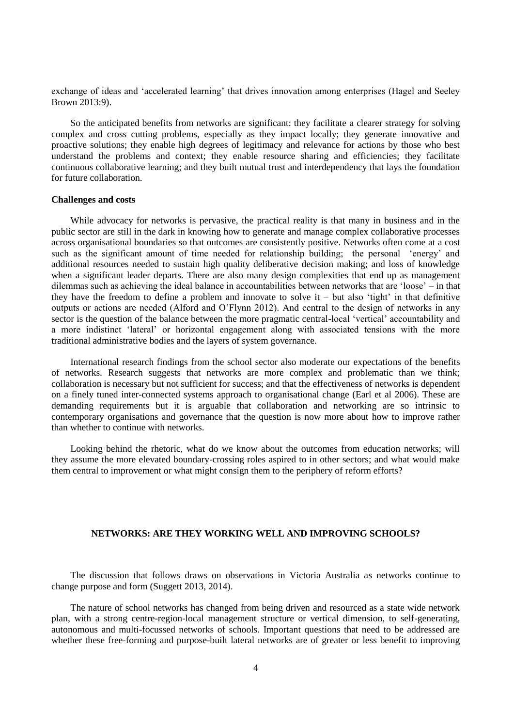exchange of ideas and 'accelerated learning' that drives innovation among enterprises (Hagel and Seeley Brown 2013:9).

So the anticipated benefits from networks are significant: they facilitate a clearer strategy for solving complex and cross cutting problems, especially as they impact locally; they generate innovative and proactive solutions; they enable high degrees of legitimacy and relevance for actions by those who best understand the problems and context; they enable resource sharing and efficiencies; they facilitate continuous collaborative learning; and they built mutual trust and interdependency that lays the foundation for future collaboration.

#### <span id="page-3-0"></span>**Challenges and costs**

While advocacy for networks is pervasive, the practical reality is that many in business and in the public sector are still in the dark in knowing how to generate and manage complex collaborative processes across organisational boundaries so that outcomes are consistently positive. Networks often come at a cost such as the significant amount of time needed for relationship building; the personal 'energy' and additional resources needed to sustain high quality deliberative decision making; and loss of knowledge when a significant leader departs. There are also many design complexities that end up as management dilemmas such as achieving the ideal balance in accountabilities between networks that are 'loose' – in that they have the freedom to define a problem and innovate to solve it  $-$  but also 'tight' in that definitive outputs or actions are needed (Alford and O'Flynn 2012). And central to the design of networks in any sector is the question of the balance between the more pragmatic central-local 'vertical' accountability and a more indistinct 'lateral' or horizontal engagement along with associated tensions with the more traditional administrative bodies and the layers of system governance.

International research findings from the school sector also moderate our expectations of the benefits of networks. Research suggests that networks are more complex and problematic than we think; collaboration is necessary but not sufficient for success; and that the effectiveness of networks is dependent on a finely tuned inter-connected systems approach to organisational change (Earl et al 2006). These are demanding requirements but it is arguable that collaboration and networking are so intrinsic to contemporary organisations and governance that the question is now more about how to improve rather than whether to continue with networks.

<span id="page-3-1"></span>Looking behind the rhetoric, what do we know about the outcomes from education networks; will they assume the more elevated boundary-crossing roles aspired to in other sectors; and what would make them central to improvement or what might consign them to the periphery of reform efforts?

## **NETWORKS: ARE THEY WORKING WELL AND IMPROVING SCHOOLS?**

The discussion that follows draws on observations in Victoria Australia as networks continue to change purpose and form (Suggett 2013, 2014).

The nature of school networks has changed from being driven and resourced as a state wide network plan, with a strong centre-region-local management structure or vertical dimension, to self-generating, autonomous and multi-focussed networks of schools. Important questions that need to be addressed are whether these free-forming and purpose-built lateral networks are of greater or less benefit to improving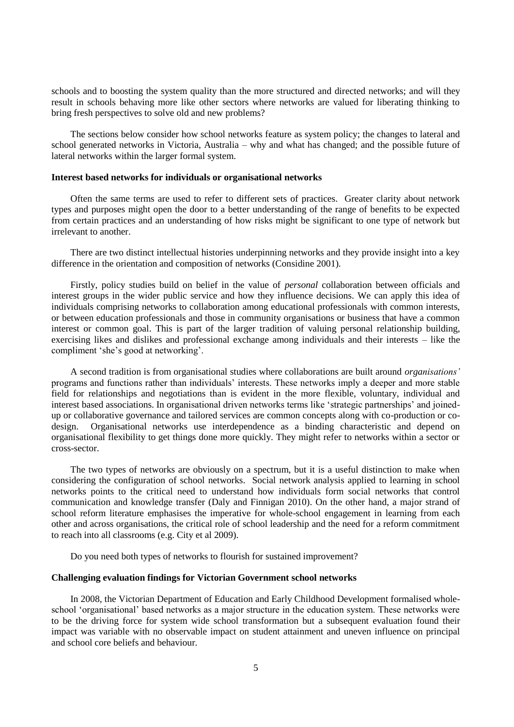schools and to boosting the system quality than the more structured and directed networks; and will they result in schools behaving more like other sectors where networks are valued for liberating thinking to bring fresh perspectives to solve old and new problems?

The sections below consider how school networks feature as system policy; the changes to lateral and school generated networks in Victoria, Australia – why and what has changed; and the possible future of lateral networks within the larger formal system.

## <span id="page-4-0"></span>**Interest based networks for individuals or organisational networks**

Often the same terms are used to refer to different sets of practices. Greater clarity about network types and purposes might open the door to a better understanding of the range of benefits to be expected from certain practices and an understanding of how risks might be significant to one type of network but irrelevant to another.

There are two distinct intellectual histories underpinning networks and they provide insight into a key difference in the orientation and composition of networks (Considine 2001).

Firstly, policy studies build on belief in the value of *personal* collaboration between officials and interest groups in the wider public service and how they influence decisions. We can apply this idea of individuals comprising networks to collaboration among educational professionals with common interests, or between education professionals and those in community organisations or business that have a common interest or common goal. This is part of the larger tradition of valuing personal relationship building, exercising likes and dislikes and professional exchange among individuals and their interests – like the compliment 'she's good at networking'.

A second tradition is from organisational studies where collaborations are built around *organisations'*  programs and functions rather than individuals' interests. These networks imply a deeper and more stable field for relationships and negotiations than is evident in the more flexible, voluntary, individual and interest based associations. In organisational driven networks terms like 'strategic partnerships' and joinedup or collaborative governance and tailored services are common concepts along with co-production or codesign. Organisational networks use interdependence as a binding characteristic and depend on organisational flexibility to get things done more quickly. They might refer to networks within a sector or cross-sector.

The two types of networks are obviously on a spectrum, but it is a useful distinction to make when considering the configuration of school networks. Social network analysis applied to learning in school networks points to the critical need to understand how individuals form social networks that control communication and knowledge transfer (Daly and Finnigan 2010). On the other hand, a major strand of school reform literature emphasises the imperative for whole-school engagement in learning from each other and across organisations, the critical role of school leadership and the need for a reform commitment to reach into all classrooms (e.g. City et al 2009).

Do you need both types of networks to flourish for sustained improvement?

## <span id="page-4-1"></span>**Challenging evaluation findings for Victorian Government school networks**

In 2008, the Victorian Department of Education and Early Childhood Development formalised wholeschool 'organisational' based networks as a major structure in the education system. These networks were to be the driving force for system wide school transformation but a subsequent evaluation found their impact was variable with no observable impact on student attainment and uneven influence on principal and school core beliefs and behaviour.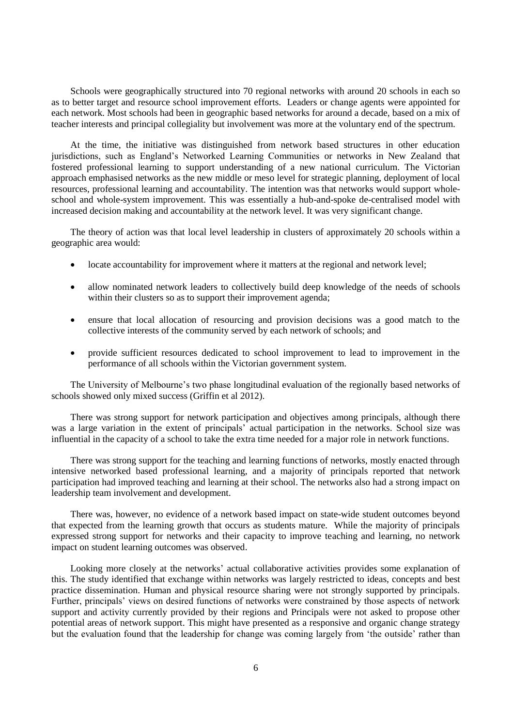Schools were geographically structured into 70 regional networks with around 20 schools in each so as to better target and resource school improvement efforts. Leaders or change agents were appointed for each network. Most schools had been in geographic based networks for around a decade, based on a mix of teacher interests and principal collegiality but involvement was more at the voluntary end of the spectrum.

At the time, the initiative was distinguished from network based structures in other education jurisdictions, such as England's Networked Learning Communities or networks in New Zealand that fostered professional learning to support understanding of a new national curriculum. The Victorian approach emphasised networks as the new middle or meso level for strategic planning, deployment of local resources, professional learning and accountability. The intention was that networks would support wholeschool and whole-system improvement. This was essentially a hub-and-spoke de-centralised model with increased decision making and accountability at the network level. It was very significant change.

The theory of action was that local level leadership in clusters of approximately 20 schools within a geographic area would:

- locate accountability for improvement where it matters at the regional and network level;
- allow nominated network leaders to collectively build deep knowledge of the needs of schools within their clusters so as to support their improvement agenda;
- ensure that local allocation of resourcing and provision decisions was a good match to the collective interests of the community served by each network of schools; and
- provide sufficient resources dedicated to school improvement to lead to improvement in the performance of all schools within the Victorian government system.

The University of Melbourne's two phase longitudinal evaluation of the regionally based networks of schools showed only mixed success (Griffin et al 2012).

There was strong support for network participation and objectives among principals, although there was a large variation in the extent of principals' actual participation in the networks. School size was influential in the capacity of a school to take the extra time needed for a major role in network functions.

There was strong support for the teaching and learning functions of networks, mostly enacted through intensive networked based professional learning, and a majority of principals reported that network participation had improved teaching and learning at their school. The networks also had a strong impact on leadership team involvement and development.

There was, however, no evidence of a network based impact on state-wide student outcomes beyond that expected from the learning growth that occurs as students mature. While the majority of principals expressed strong support for networks and their capacity to improve teaching and learning, no network impact on student learning outcomes was observed.

Looking more closely at the networks' actual collaborative activities provides some explanation of this. The study identified that exchange within networks was largely restricted to ideas, concepts and best practice dissemination. Human and physical resource sharing were not strongly supported by principals. Further, principals' views on desired functions of networks were constrained by those aspects of network support and activity currently provided by their regions and Principals were not asked to propose other potential areas of network support. This might have presented as a responsive and organic change strategy but the evaluation found that the leadership for change was coming largely from 'the outside' rather than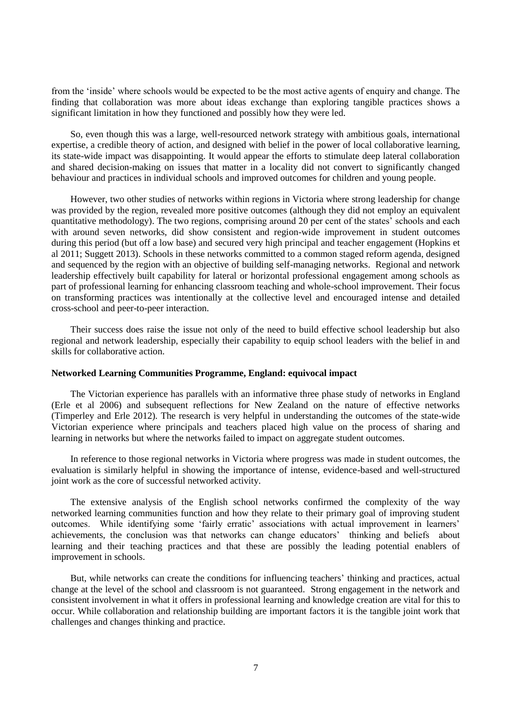from the 'inside' where schools would be expected to be the most active agents of enquiry and change. The finding that collaboration was more about ideas exchange than exploring tangible practices shows a significant limitation in how they functioned and possibly how they were led.

So, even though this was a large, well-resourced network strategy with ambitious goals, international expertise, a credible theory of action, and designed with belief in the power of local collaborative learning, its state-wide impact was disappointing. It would appear the efforts to stimulate deep lateral collaboration and shared decision-making on issues that matter in a locality did not convert to significantly changed behaviour and practices in individual schools and improved outcomes for children and young people.

However, two other studies of networks within regions in Victoria where strong leadership for change was provided by the region, revealed more positive outcomes (although they did not employ an equivalent quantitative methodology). The two regions, comprising around 20 per cent of the states' schools and each with around seven networks, did show consistent and region-wide improvement in student outcomes during this period (but off a low base) and secured very high principal and teacher engagement (Hopkins et al 2011; Suggett 2013). Schools in these networks committed to a common staged reform agenda, designed and sequenced by the region with an objective of building self-managing networks. Regional and network leadership effectively built capability for lateral or horizontal professional engagement among schools as part of professional learning for enhancing classroom teaching and whole-school improvement. Their focus on transforming practices was intentionally at the collective level and encouraged intense and detailed cross-school and peer-to-peer interaction.

Their success does raise the issue not only of the need to build effective school leadership but also regional and network leadership, especially their capability to equip school leaders with the belief in and skills for collaborative action.

#### <span id="page-6-0"></span>**Networked Learning Communities Programme, England: equivocal impact**

The Victorian experience has parallels with an informative three phase study of networks in England (Erle et al 2006) and subsequent reflections for New Zealand on the nature of effective networks (Timperley and Erle 2012). The research is very helpful in understanding the outcomes of the state-wide Victorian experience where principals and teachers placed high value on the process of sharing and learning in networks but where the networks failed to impact on aggregate student outcomes.

In reference to those regional networks in Victoria where progress was made in student outcomes, the evaluation is similarly helpful in showing the importance of intense, evidence-based and well-structured joint work as the core of successful networked activity.

The extensive analysis of the English school networks confirmed the complexity of the way networked learning communities function and how they relate to their primary goal of improving student outcomes. While identifying some 'fairly erratic' associations with actual improvement in learners' achievements, the conclusion was that networks can change educators' thinking and beliefs about learning and their teaching practices and that these are possibly the leading potential enablers of improvement in schools.

But, while networks can create the conditions for influencing teachers' thinking and practices, actual change at the level of the school and classroom is not guaranteed. Strong engagement in the network and consistent involvement in what it offers in professional learning and knowledge creation are vital for this to occur. While collaboration and relationship building are important factors it is the tangible joint work that challenges and changes thinking and practice.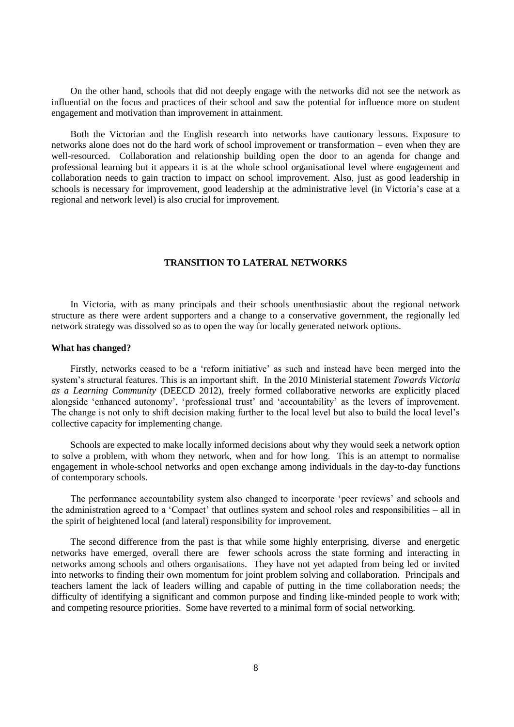On the other hand, schools that did not deeply engage with the networks did not see the network as influential on the focus and practices of their school and saw the potential for influence more on student engagement and motivation than improvement in attainment.

Both the Victorian and the English research into networks have cautionary lessons. Exposure to networks alone does not do the hard work of school improvement or transformation – even when they are well-resourced. Collaboration and relationship building open the door to an agenda for change and professional learning but it appears it is at the whole school organisational level where engagement and collaboration needs to gain traction to impact on school improvement. Also, just as good leadership in schools is necessary for improvement, good leadership at the administrative level (in Victoria's case at a regional and network level) is also crucial for improvement.

## **TRANSITION TO LATERAL NETWORKS**

<span id="page-7-0"></span>In Victoria, with as many principals and their schools unenthusiastic about the regional network structure as there were ardent supporters and a change to a conservative government, the regionally led network strategy was dissolved so as to open the way for locally generated network options.

#### <span id="page-7-1"></span>**What has changed?**

Firstly, networks ceased to be a 'reform initiative' as such and instead have been merged into the system's structural features. This is an important shift. In the 2010 Ministerial statement *Towards Victoria as a Learning Community* (DEECD 2012), freely formed collaborative networks are explicitly placed alongside 'enhanced autonomy', 'professional trust' and 'accountability' as the levers of improvement. The change is not only to shift decision making further to the local level but also to build the local level's collective capacity for implementing change.

Schools are expected to make locally informed decisions about why they would seek a network option to solve a problem, with whom they network, when and for how long. This is an attempt to normalise engagement in whole-school networks and open exchange among individuals in the day-to-day functions of contemporary schools.

The performance accountability system also changed to incorporate 'peer reviews' and schools and the administration agreed to a 'Compact' that outlines system and school roles and responsibilities – all in the spirit of heightened local (and lateral) responsibility for improvement.

The second difference from the past is that while some highly enterprising, diverse and energetic networks have emerged, overall there are fewer schools across the state forming and interacting in networks among schools and others organisations. They have not yet adapted from being led or invited into networks to finding their own momentum for joint problem solving and collaboration. Principals and teachers lament the lack of leaders willing and capable of putting in the time collaboration needs; the difficulty of identifying a significant and common purpose and finding like-minded people to work with; and competing resource priorities. Some have reverted to a minimal form of social networking.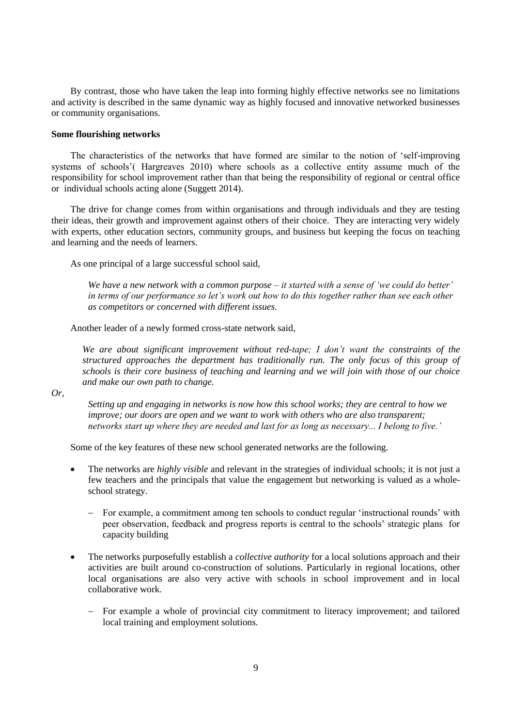By contrast, those who have taken the leap into forming highly effective networks see no limitations and activity is described in the same dynamic way as highly focused and innovative networked businesses or community organisations.

### <span id="page-8-0"></span>**Some flourishing networks**

The characteristics of the networks that have formed are similar to the notion of 'self-improving systems of schools'( Hargreaves 2010) where schools as a collective entity assume much of the responsibility for school improvement rather than that being the responsibility of regional or central office or individual schools acting alone (Suggett 2014).

The drive for change comes from within organisations and through individuals and they are testing their ideas, their growth and improvement against others of their choice. They are interacting very widely with experts, other education sectors, community groups, and business but keeping the focus on teaching and learning and the needs of learners.

As one principal of a large successful school said,

*We have a new network with a common purpose – it started with a sense of 'we could do better' in terms of our performance so let's work out how to do this together rather than see each other as competitors or concerned with different issues.*

Another leader of a newly formed cross-state network said,

*We are about significant improvement without red-tape; I don't want the constraints of the structured approaches the department has traditionally run. The only focus of this group of schools is their core business of teaching and learning and we will join with those of our choice and make our own path to change.* 

*Or,* 

*Setting up and engaging in networks is now how this school works; they are central to how we improve; our doors are open and we want to work with others who are also transparent; networks start up where they are needed and last for as long as necessary... I belong to five.'*

Some of the key features of these new school generated networks are the following.

- The networks are *highly visible* and relevant in the strategies of individual schools; it is not just a few teachers and the principals that value the engagement but networking is valued as a wholeschool strategy.
	- For example, a commitment among ten schools to conduct regular 'instructional rounds' with peer observation, feedback and progress reports is central to the schools' strategic plans for capacity building
- The networks purposefully establish a *collective authority* for a local solutions approach and their activities are built around co-construction of solutions. Particularly in regional locations, other local organisations are also very active with schools in school improvement and in local collaborative work.
	- For example a whole of provincial city commitment to literacy improvement; and tailored local training and employment solutions.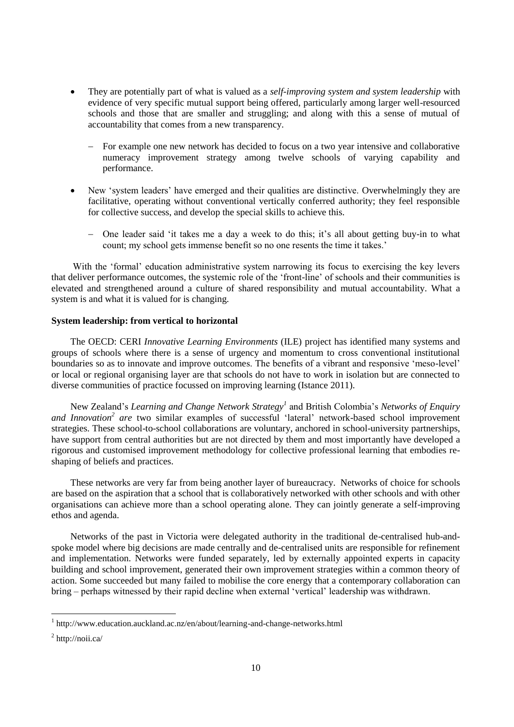- They are potentially part of what is valued as a *self-improving system and system leadership* with evidence of very specific mutual support being offered, particularly among larger well-resourced schools and those that are smaller and struggling; and along with this a sense of mutual of accountability that comes from a new transparency.
	- For example one new network has decided to focus on a two year intensive and collaborative numeracy improvement strategy among twelve schools of varying capability and performance.
- New 'system leaders' have emerged and their qualities are distinctive. Overwhelmingly they are facilitative, operating without conventional vertically conferred authority; they feel responsible for collective success, and develop the special skills to achieve this.
	- One leader said 'it takes me a day a week to do this; it's all about getting buy-in to what count; my school gets immense benefit so no one resents the time it takes.'

With the 'formal' education administrative system narrowing its focus to exercising the key levers that deliver performance outcomes, the systemic role of the 'front-line' of schools and their communities is elevated and strengthened around a culture of shared responsibility and mutual accountability. What a system is and what it is valued for is changing.

## <span id="page-9-0"></span>**System leadership: from vertical to horizontal**

The OECD: CERI *Innovative Learning Environments* (ILE) project has identified many systems and groups of schools where there is a sense of urgency and momentum to cross conventional institutional boundaries so as to innovate and improve outcomes. The benefits of a vibrant and responsive 'meso-level' or local or regional organising layer are that schools do not have to work in isolation but are connected to diverse communities of practice focussed on improving learning (Istance 2011).

New Zealand's *Learning and Change Network Strategy<sup>1</sup>* and British Colombia's *Networks of Enquiry and Innovation<sup>2</sup> are* two similar examples of successful 'lateral' network-based school improvement strategies. These school-to-school collaborations are voluntary, anchored in school-university partnerships, have support from central authorities but are not directed by them and most importantly have developed a rigorous and customised improvement methodology for collective professional learning that embodies reshaping of beliefs and practices.

These networks are very far from being another layer of bureaucracy. Networks of choice for schools are based on the aspiration that a school that is collaboratively networked with other schools and with other organisations can achieve more than a school operating alone. They can jointly generate a self-improving ethos and agenda.

Networks of the past in Victoria were delegated authority in the traditional de-centralised hub-andspoke model where big decisions are made centrally and de-centralised units are responsible for refinement and implementation. Networks were funded separately, led by externally appointed experts in capacity building and school improvement, generated their own improvement strategies within a common theory of action. Some succeeded but many failed to mobilise the core energy that a contemporary collaboration can bring – perhaps witnessed by their rapid decline when external 'vertical' leadership was withdrawn.

 1 http://www.education.auckland.ac.nz/en/about/learning-and-change-networks.html

 $<sup>2</sup>$  http://noii.ca/</sup>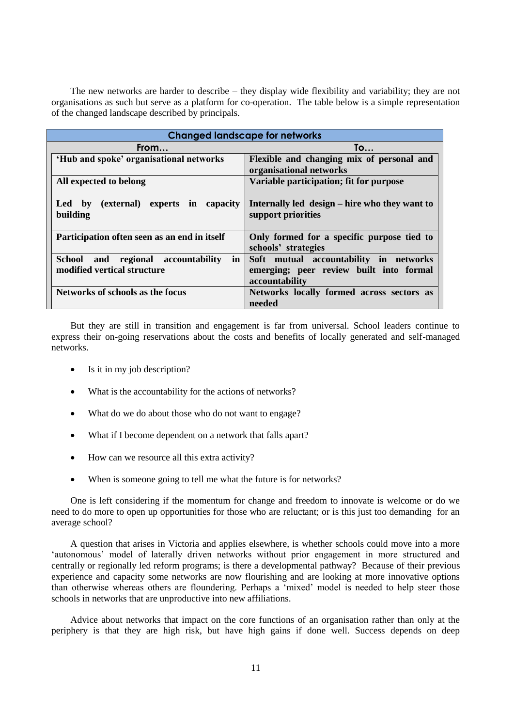The new networks are harder to describe – they display wide flexibility and variability; they are not organisations as such but serve as a platform for co-operation. The table below is a simple representation of the changed landscape described by principals.

| <b>Changed landscape for networks</b>                                                 |                                                                                                     |
|---------------------------------------------------------------------------------------|-----------------------------------------------------------------------------------------------------|
| From                                                                                  | To                                                                                                  |
| 'Hub and spoke' organisational networks                                               | Flexible and changing mix of personal and<br>organisational networks                                |
| All expected to belong                                                                | Variable participation; fit for purpose                                                             |
| experts in capacity<br>(external)<br><b>Led</b><br>$\mathbf{b}\mathbf{v}$<br>building | Internally led design – hire who they want to<br>support priorities                                 |
| Participation often seen as an end in itself                                          | Only formed for a specific purpose tied to<br>schools' strategies                                   |
| <b>School</b><br>in<br>regional accountability<br>and<br>modified vertical structure  | Soft mutual accountability in networks<br>emerging; peer review built into formal<br>accountability |
| Networks of schools as the focus                                                      | Networks locally formed across sectors as<br>needed                                                 |

But they are still in transition and engagement is far from universal. School leaders continue to express their on-going reservations about the costs and benefits of locally generated and self-managed networks.

- Is it in my job description?
- What is the accountability for the actions of networks?
- What do we do about those who do not want to engage?
- What if I become dependent on a network that falls apart?
- How can we resource all this extra activity?
- When is someone going to tell me what the future is for networks?

One is left considering if the momentum for change and freedom to innovate is welcome or do we need to do more to open up opportunities for those who are reluctant; or is this just too demanding for an average school?

A question that arises in Victoria and applies elsewhere, is whether schools could move into a more 'autonomous' model of laterally driven networks without prior engagement in more structured and centrally or regionally led reform programs; is there a developmental pathway? Because of their previous experience and capacity some networks are now flourishing and are looking at more innovative options than otherwise whereas others are floundering. Perhaps a 'mixed' model is needed to help steer those schools in networks that are unproductive into new affiliations.

Advice about networks that impact on the core functions of an organisation rather than only at the periphery is that they are high risk, but have high gains if done well. Success depends on deep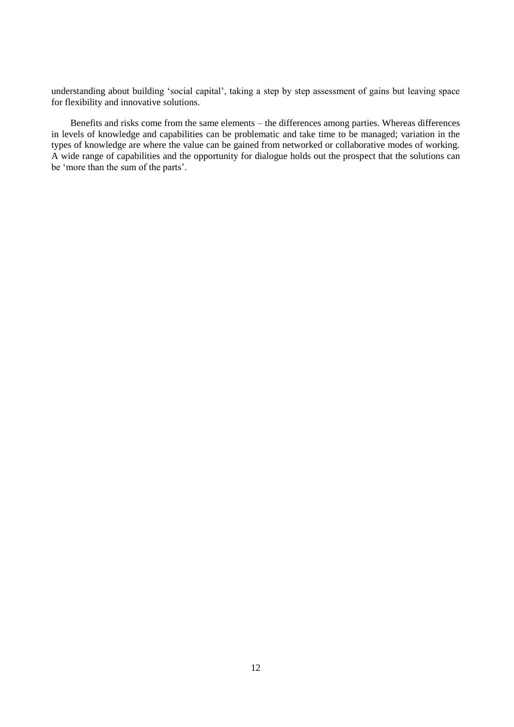understanding about building 'social capital', taking a step by step assessment of gains but leaving space for flexibility and innovative solutions.

Benefits and risks come from the same elements – the differences among parties. Whereas differences in levels of knowledge and capabilities can be problematic and take time to be managed; variation in the types of knowledge are where the value can be gained from networked or collaborative modes of working. A wide range of capabilities and the opportunity for dialogue holds out the prospect that the solutions can be 'more than the sum of the parts'.